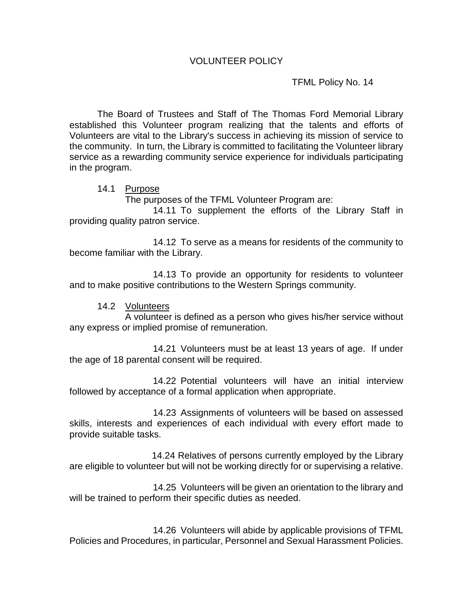TFML Policy No. 14

The Board of Trustees and Staff of The Thomas Ford Memorial Library established this Volunteer program realizing that the talents and efforts of Volunteers are vital to the Library's success in achieving its mission of service to the community. In turn, the Library is committed to facilitating the Volunteer library service as a rewarding community service experience for individuals participating in the program.

## 14.1 Purpose

The purposes of the TFML Volunteer Program are:

14.11 To supplement the efforts of the Library Staff in providing quality patron service.

14.12 To serve as a means for residents of the community to become familiar with the Library.

14.13 To provide an opportunity for residents to volunteer and to make positive contributions to the Western Springs community.

14.2 Volunteers

A volunteer is defined as a person who gives his/her service without any express or implied promise of remuneration.

14.21 Volunteers must be at least 13 years of age. If under the age of 18 parental consent will be required.

14.22 Potential volunteers will have an initial interview followed by acceptance of a formal application when appropriate.

14.23 Assignments of volunteers will be based on assessed skills, interests and experiences of each individual with every effort made to provide suitable tasks.

 14.24 Relatives of persons currently employed by the Library are eligible to volunteer but will not be working directly for or supervising a relative.

14.25 Volunteers will be given an orientation to the library and will be trained to perform their specific duties as needed.

14.26 Volunteers will abide by applicable provisions of TFML Policies and Procedures, in particular, Personnel and Sexual Harassment Policies.